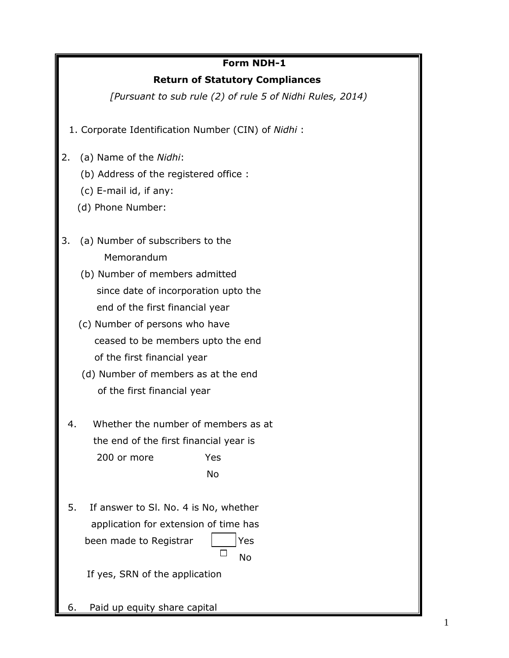## **Form NDH-1**

### **Return of Statutory Compliances**

*[Pursuant to sub rule (2) of rule 5 of Nidhi Rules, 2014)*

- 1. Corporate Identification Number (CIN) of *Nidhi* :
- 2. (a) Name of the *Nidhi*:
	- (b) Address of the registered office :
	- (c) E-mail id, if any:
	- (d) Phone Number:
- 3. (a) Number of subscribers to the Memorandum
	- (b) Number of members admitted since date of incorporation upto the end of the first financial year
	- (c) Number of persons who have ceased to be members upto the end of the first financial year
	- (d) Number of members as at the end of the first financial year
	- 4. Whether the number of members as at the end of the first financial year is 200 or more Yes No
	- 5. If answer to Sl. No. 4 is No, whether application for extension of time has been made to Registrar  $|$  | Yes not a series and the series of the No

If yes, SRN of the application

6. Paid up equity share capital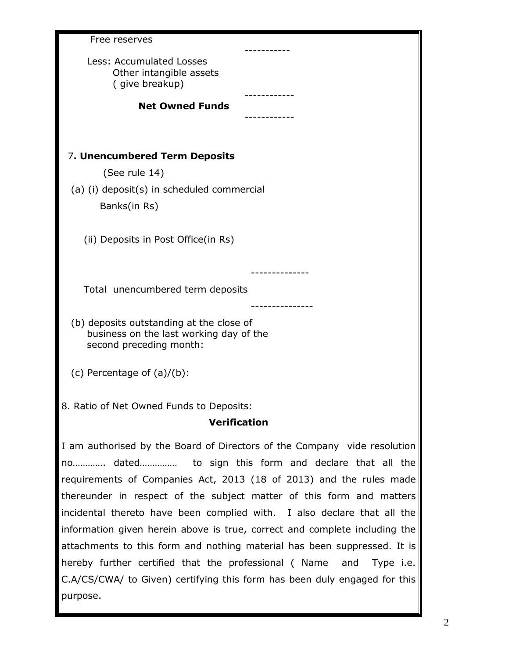| Free reserves                                                                                                                               |  |
|---------------------------------------------------------------------------------------------------------------------------------------------|--|
| Less: Accumulated Losses<br>Other intangible assets<br>(give breakup)                                                                       |  |
| <b>Net Owned Funds</b>                                                                                                                      |  |
|                                                                                                                                             |  |
|                                                                                                                                             |  |
| 7. Unencumbered Term Deposits                                                                                                               |  |
| (See rule 14)                                                                                                                               |  |
| (a) (i) deposit(s) in scheduled commercial<br>Banks(in Rs)                                                                                  |  |
| (ii) Deposits in Post Office(in Rs)                                                                                                         |  |
| Total unencumbered term deposits                                                                                                            |  |
| (b) deposits outstanding at the close of<br>business on the last working day of the<br>second preceding month:                              |  |
| (c) Percentage of $(a)/(b)$ :                                                                                                               |  |
| 8. Ratio of Net Owned Funds to Deposits:<br><b>Verification</b>                                                                             |  |
|                                                                                                                                             |  |
| I am authorised by the Board of Directors of the Company vide resolution                                                                    |  |
| no dated to sign this form and declare that all the                                                                                         |  |
| requirements of Companies Act, 2013 (18 of 2013) and the rules made<br>thereunder in respect of the subject matter of this form and matters |  |
| incidental thereto have been complied with. I also declare that all the                                                                     |  |
| information given herein above is true, correct and complete including the                                                                  |  |
| attachments to this form and nothing material has been suppressed. It is                                                                    |  |
| hereby further certified that the professional (Name<br>and<br>Type i.e.                                                                    |  |
| C.A/CS/CWA/ to Given) certifying this form has been duly engaged for this                                                                   |  |
| purpose.                                                                                                                                    |  |